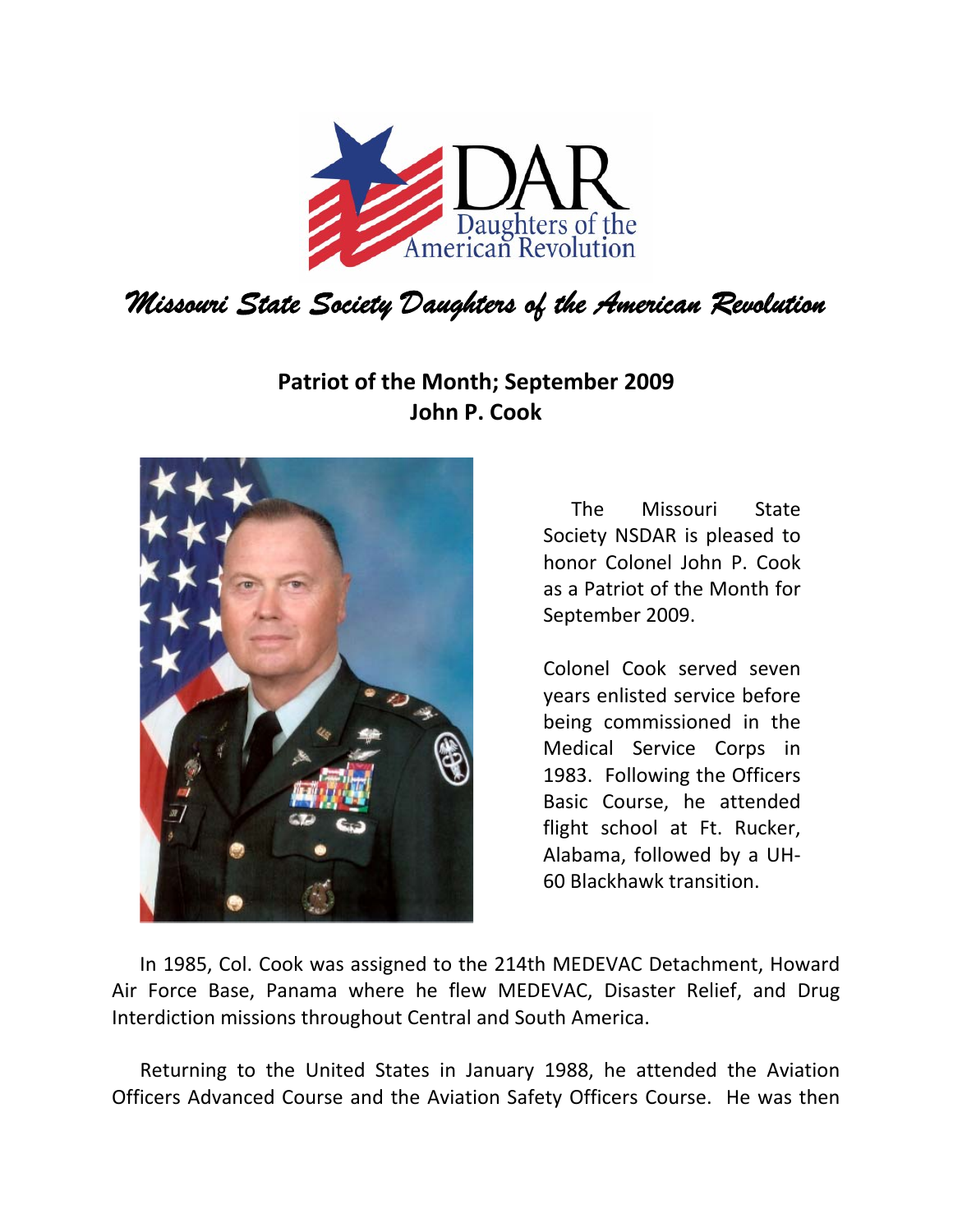

## **Patriot of the Month; September 2009 John P. Cook**



The Missouri State Society NSDAR is pleased to honor Colonel John P. Cook as a Patriot of the Month for September 2009.

Colonel Cook served seven years enlisted service before being commissioned in the Medical Service Corps in 1983. Following the Officers Basic Course, he attended flight school at Ft. Rucker, Alabama, followed by a UH‐ 60 Blackhawk transition.

In 1985, Col. Cook was assigned to the 214th MEDEVAC Detachment, Howard Air Force Base, Panama where he flew MEDEVAC, Disaster Relief, and Drug Interdiction missions throughout Central and South America.

Returning to the United States in January 1988, he attended the Aviation Officers Advanced Course and the Aviation Safety Officers Course. He was then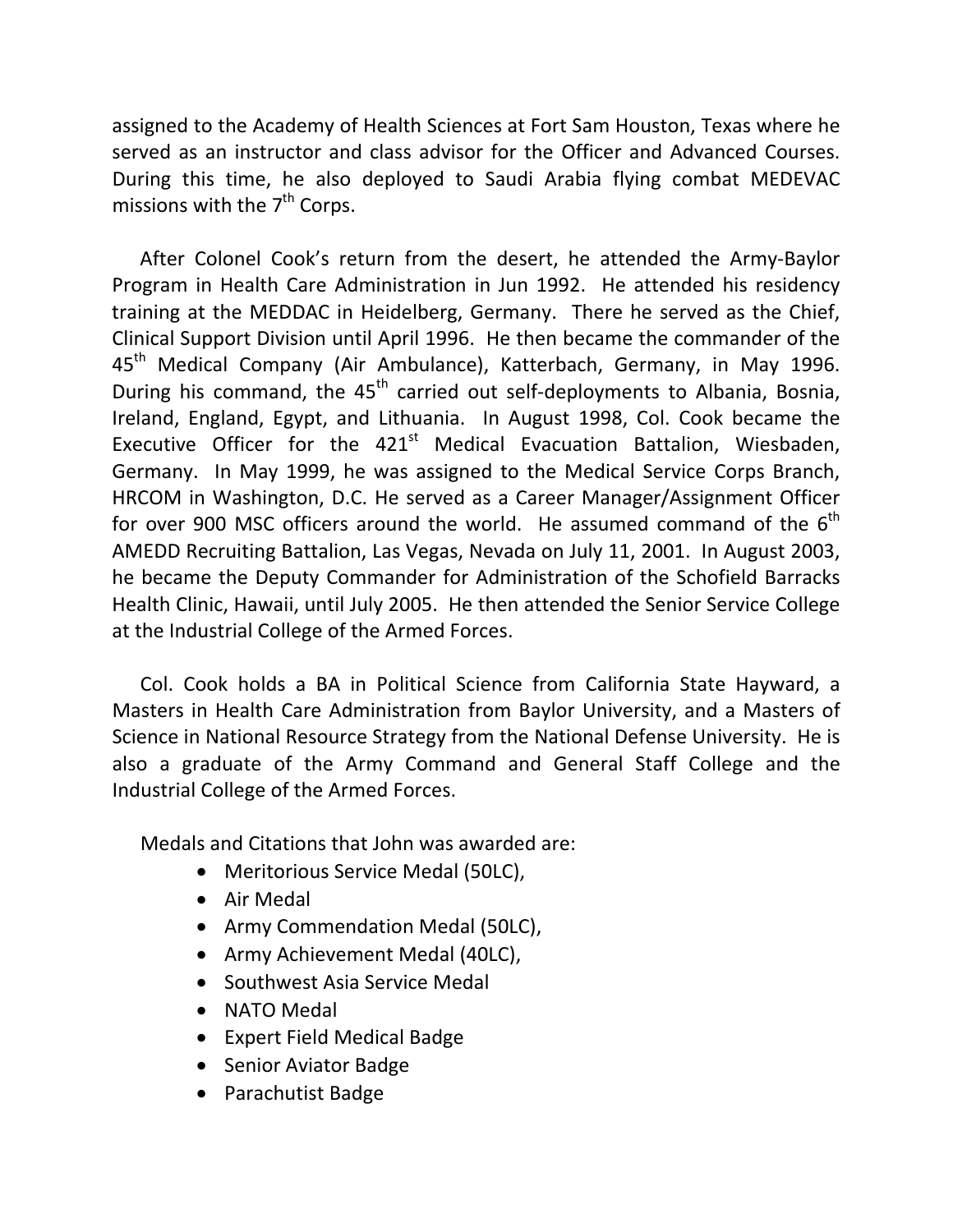assigned to the Academy of Health Sciences at Fort Sam Houston, Texas where he served as an instructor and class advisor for the Officer and Advanced Courses. During this time, he also deployed to Saudi Arabia flying combat MEDEVAC missions with the  $7<sup>th</sup>$  Corps.

After Colonel Cook's return from the desert, he attended the Army‐Baylor Program in Health Care Administration in Jun 1992. He attended his residency training at the MEDDAC in Heidelberg, Germany. There he served as the Chief, Clinical Support Division until April 1996. He then became the commander of the 45<sup>th</sup> Medical Company (Air Ambulance), Katterbach, Germany, in May 1996. During his command, the  $45<sup>th</sup>$  carried out self-deployments to Albania, Bosnia, Ireland, England, Egypt, and Lithuania. In August 1998, Col. Cook became the Executive Officer for the  $421<sup>st</sup>$  Medical Evacuation Battalion, Wiesbaden, Germany. In May 1999, he was assigned to the Medical Service Corps Branch, HRCOM in Washington, D.C. He served as a Career Manager/Assignment Officer for over 900 MSC officers around the world. He assumed command of the  $6<sup>th</sup>$ AMEDD Recruiting Battalion, Las Vegas, Nevada on July 11, 2001. In August 2003, he became the Deputy Commander for Administration of the Schofield Barracks Health Clinic, Hawaii, until July 2005. He then attended the Senior Service College at the Industrial College of the Armed Forces.

Col. Cook holds a BA in Political Science from California State Hayward, a Masters in Health Care Administration from Baylor University, and a Masters of Science in National Resource Strategy from the National Defense University. He is also a graduate of the Army Command and General Staff College and the Industrial College of the Armed Forces.

Medals and Citations that John was awarded are:

- Meritorious Service Medal (50LC),
- Air Medal
- Army Commendation Medal (50LC),
- Army Achievement Medal (40LC),
- Southwest Asia Service Medal
- NATO Medal
- Expert Field Medical Badge
- Senior Aviator Badge
- Parachutist Badge